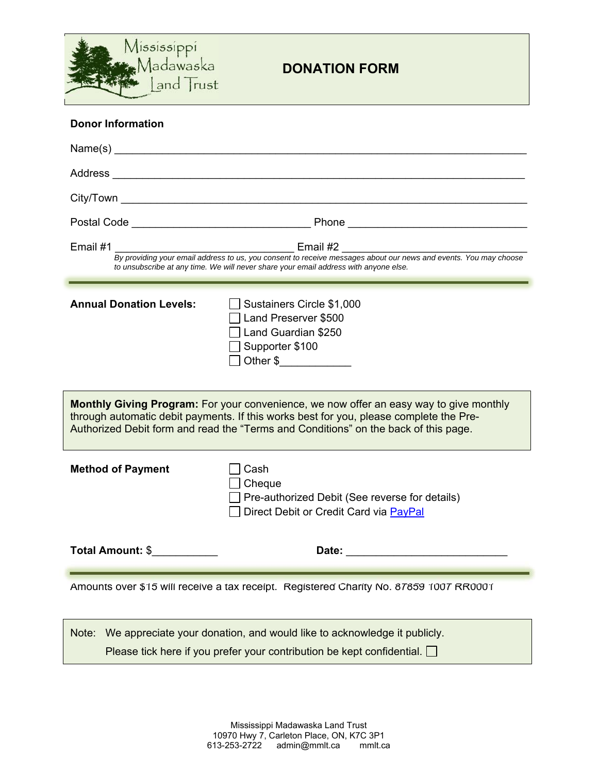

| <b>Donor Information</b>                                                                                                                                                                                                                                                       |                                                                                                            |  |
|--------------------------------------------------------------------------------------------------------------------------------------------------------------------------------------------------------------------------------------------------------------------------------|------------------------------------------------------------------------------------------------------------|--|
|                                                                                                                                                                                                                                                                                |                                                                                                            |  |
|                                                                                                                                                                                                                                                                                |                                                                                                            |  |
|                                                                                                                                                                                                                                                                                |                                                                                                            |  |
|                                                                                                                                                                                                                                                                                |                                                                                                            |  |
| <b>Email #2</b> Email #2<br>Email #1<br>By providing your email address to us, you consent to receive messages about our news and events. You may choose<br>to unsubscribe at any time. We will never share your email address with anyone else.                               |                                                                                                            |  |
| <b>Annual Donation Levels:</b>                                                                                                                                                                                                                                                 | Sustainers Circle \$1,000<br>Land Preserver \$500<br>Land Guardian \$250<br>Supporter \$100<br>Other \$    |  |
| <b>Monthly Giving Program:</b> For your convenience, we now offer an easy way to give monthly<br>through automatic debit payments. If this works best for you, please complete the Pre-<br>Authorized Debit form and read the "Terms and Conditions" on the back of this page. |                                                                                                            |  |
| <b>Method of Payment</b>                                                                                                                                                                                                                                                       | Cash<br>Cheque<br>Pre-authorized Debit (See reverse for details)<br>Direct Debit or Credit Card via PayPal |  |
| Total Amount: \$                                                                                                                                                                                                                                                               | Date:                                                                                                      |  |
| Amounts over \$15 will receive a tax receipt. Registered Charity No. 87859 1007 RR0001                                                                                                                                                                                         |                                                                                                            |  |
| Note: We appreciate your donation, and would like to acknowledge it publicly.                                                                                                                                                                                                  |                                                                                                            |  |

Please tick here if you prefer your contribution be kept confidential.  $\square$